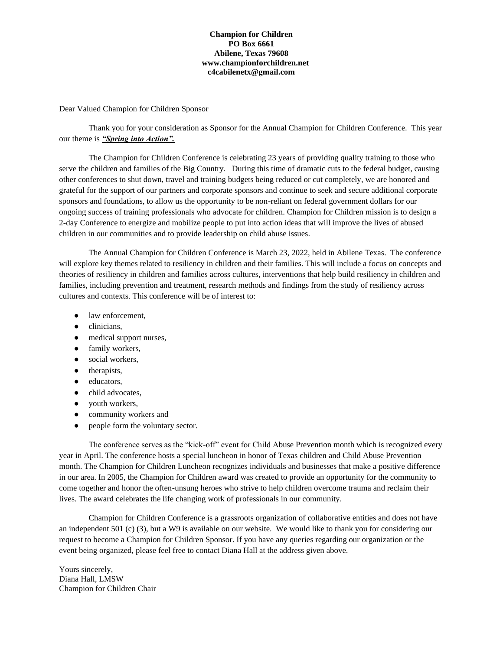#### **Champion for Children PO Box 6661 Abilene, Texas 79608 www.championforchildren.net c4cabilenetx@gmail.com**

Dear Valued Champion for Children Sponsor

Thank you for your consideration as Sponsor for the Annual Champion for Children Conference. This year our theme is *"Spring into Action".* 

The Champion for Children Conference is celebrating 23 years of providing quality training to those who serve the children and families of the Big Country. During this time of dramatic cuts to the federal budget, causing other conferences to shut down, travel and training budgets being reduced or cut completely, we are honored and grateful for the support of our partners and corporate sponsors and continue to seek and secure additional corporate sponsors and foundations, to allow us the opportunity to be non-reliant on federal government dollars for our ongoing success of training professionals who advocate for children. Champion for Children mission is to design a 2-day Conference to energize and mobilize people to put into action ideas that will improve the lives of abused children in our communities and to provide leadership on child abuse issues.

The Annual Champion for Children Conference is March 23, 2022, held in Abilene Texas. The conference will explore key themes related to resiliency in children and their families. This will include a focus on concepts and theories of resiliency in children and families across cultures, interventions that help build resiliency in children and families, including prevention and treatment, research methods and findings from the study of resiliency across cultures and contexts. This conference will be of interest to:

- law enforcement,
- clinicians,
- medical support nurses,
- family workers,
- social workers,
- therapists,
- educators,
- child advocates,
- youth workers,
- community workers and
- people form the voluntary sector.

The conference serves as the "kick-off" event for Child Abuse Prevention month which is recognized every year in April. The conference hosts a special luncheon in honor of Texas children and Child Abuse Prevention month. The Champion for Children Luncheon recognizes individuals and businesses that make a positive difference in our area. In 2005, the Champion for Children award was created to provide an opportunity for the community to come together and honor the often-unsung heroes who strive to help children overcome trauma and reclaim their lives. The award celebrates the life changing work of professionals in our community.

Champion for Children Conference is a grassroots organization of collaborative entities and does not have an independent 501 (c) (3), but a W9 is available on our website. We would like to thank you for considering our request to become a Champion for Children Sponsor. If you have any queries regarding our organization or the event being organized, please feel free to contact Diana Hall at the address given above.

Yours sincerely, Diana Hall, LMSW Champion for Children Chair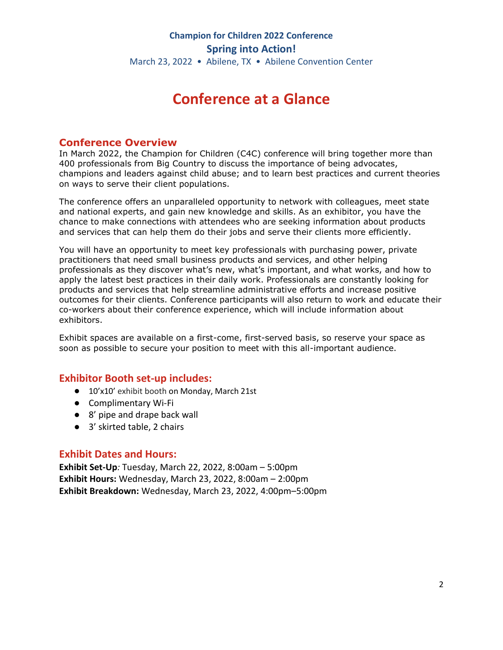# **Conference at a Glance**

#### **Conference Overview**

In March 2022, the Champion for Children (C4C) conference will bring together more than 400 professionals from Big Country to discuss the importance of being advocates, champions and leaders against child abuse; and to learn best practices and current theories on ways to serve their client populations.

The conference offers an unparalleled opportunity to network with colleagues, meet state and national experts, and gain new knowledge and skills. As an exhibitor, you have the chance to make connections with attendees who are seeking information about products and services that can help them do their jobs and serve their clients more efficiently.

You will have an opportunity to meet key professionals with purchasing power, private practitioners that need small business products and services, and other helping professionals as they discover what's new, what's important, and what works, and how to apply the latest best practices in their daily work. Professionals are constantly looking for products and services that help streamline administrative efforts and increase positive outcomes for their clients. Conference participants will also return to work and educate their co-workers about their conference experience, which will include information about exhibitors.

Exhibit spaces are available on a first-come, first-served basis, so reserve your space as soon as possible to secure your position to meet with this all-important audience.

### **Exhibitor Booth set-up includes:**

- 10'x10' exhibit booth on Monday, March 21st
- Complimentary Wi-Fi
- 8' pipe and drape back wall
- 3' skirted table, 2 chairs

#### **Exhibit Dates and Hours:**

**Exhibit Set-Up***:* Tuesday, March 22, 2022, 8:00am – 5:00pm **Exhibit Hours:** Wednesday, March 23, 2022, 8:00am – 2:00pm **Exhibit Breakdown:** Wednesday, March 23, 2022, 4:00pm–5:00pm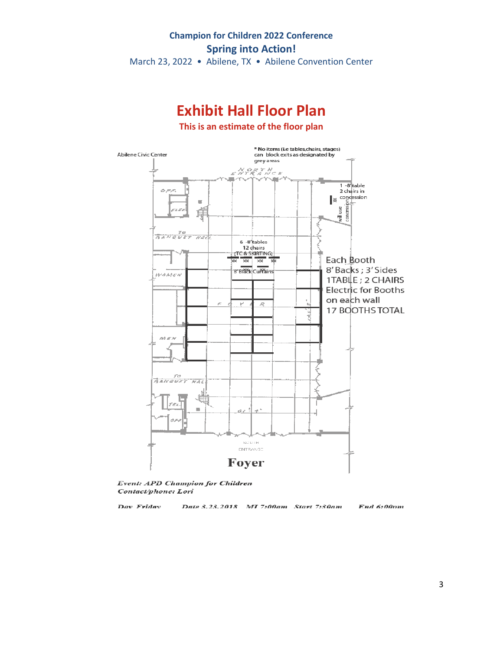March 23, 2022 • Abilene, TX • Abilene Convention Center



Event: APD Champion for Children Contact/phone: Lori

Dav Fridav

Date 3.23.2018 MI 7:00am Start 7:30am

End 6:00pm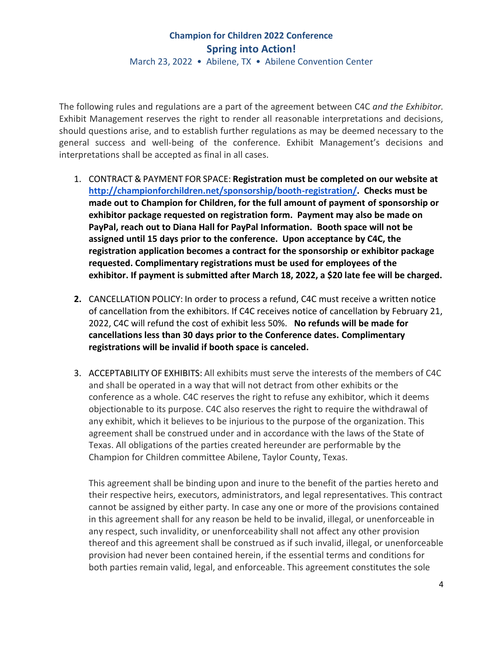March 23, 2022 • Abilene, TX • Abilene Convention Center

The following rules and regulations are a part of the agreement between C4C *and the Exhibitor.* Exhibit Management reserves the right to render all reasonable interpretations and decisions, should questions arise, and to establish further regulations as may be deemed necessary to the general success and well-being of the conference. Exhibit Management's decisions and interpretations shall be accepted as final in all cases.

- 1. CONTRACT & PAYMENT FOR SPACE: **Registration must be completed on our website at [http://championforchildren.net/sponsorship/booth-registration/.](http://championforchildren.net/sponsorship/booth-registration/) Checks must be made out to Champion for Children, for the full amount of payment of sponsorship or exhibitor package requested on registration form. Payment may also be made on PayPal, reach out to Diana Hall for PayPal Information. Booth space will not be assigned until 15 days prior to the conference. Upon acceptance by C4C, the registration application becomes a contract for the sponsorship or exhibitor package requested. Complimentary registrations must be used for employees of the exhibitor. If payment is submitted after March 18, 2022, a \$20 late fee will be charged.**
- **2.** CANCELLATION POLICY: In order to process a refund, C4C must receive a written notice of cancellation from the exhibitors. If C4C receives notice of cancellation by February 21, 2022, C4C will refund the cost of exhibit less 50%. **No refunds will be made for cancellations less than 30 days prior to the Conference dates. Complimentary registrations will be invalid if booth space is canceled.**
- 3. ACCEPTABILITY OF EXHIBITS: All exhibits must serve the interests of the members of C4C and shall be operated in a way that will not detract from other exhibits or the conference as a whole. C4C reserves the right to refuse any exhibitor, which it deems objectionable to its purpose. C4C also reserves the right to require the withdrawal of any exhibit, which it believes to be injurious to the purpose of the organization. This agreement shall be construed under and in accordance with the laws of the State of Texas. All obligations of the parties created hereunder are performable by the Champion for Children committee Abilene, Taylor County, Texas.

This agreement shall be binding upon and inure to the benefit of the parties hereto and their respective heirs, executors, administrators, and legal representatives. This contract cannot be assigned by either party. In case any one or more of the provisions contained in this agreement shall for any reason be held to be invalid, illegal, or unenforceable in any respect, such invalidity, or unenforceability shall not affect any other provision thereof and this agreement shall be construed as if such invalid, illegal, or unenforceable provision had never been contained herein, if the essential terms and conditions for both parties remain valid, legal, and enforceable. This agreement constitutes the sole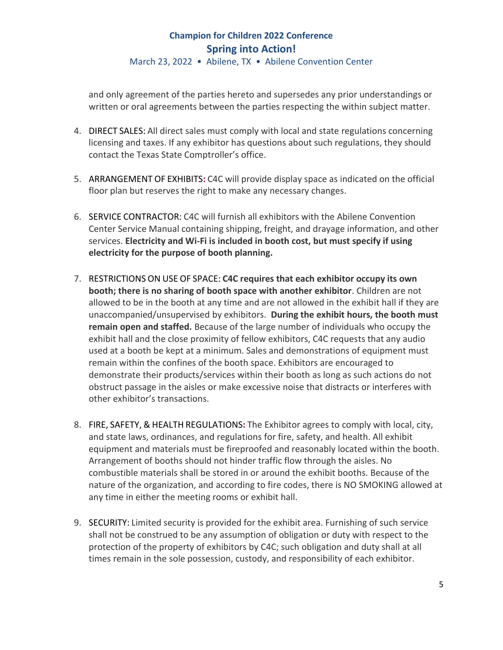March 23, 2022 • Abilene, TX • Abilene Convention Center

and only agreement of the parties hereto and supersedes any prior understandings or written or oral agreements between the parties respecting the within subject matter.

- 4. DIRECT SALES: All direct sales must comply with local and state regulations concerning licensing and taxes. If any exhibitor has questions about such regulations, they should contact the Texas State Comptroller's office.
- 5. ARRANGEMENT OF EXHIBITS**:** C4C will provide display space as indicated on the official floor plan but reserves the right to make any necessary changes.
- 6. SERVICE CONTRACTOR: C4C will furnish all exhibitors with the Abilene Convention Center Service Manual containing shipping, freight, and drayage information, and other services. **Electricity and Wi-Fi is included in booth cost, but must specify if using electricity for the purpose of booth planning.**
- 7. RESTRICTIONS ON USE OF SPACE: **C4C requires that each exhibitor occupy its own booth; there is no sharing of booth space with another exhibitor**. Children are not allowed to be in the booth at any time and are not allowed in the exhibit hall if they are unaccompanied/unsupervised by exhibitors. **During the exhibit hours, the booth must remain open and staffed.** Because of the large number of individuals who occupy the exhibit hall and the close proximity of fellow exhibitors, C4C requests that any audio used at a booth be kept at a minimum. Sales and demonstrations of equipment must remain within the confines of the booth space. Exhibitors are encouraged to demonstrate their products/services within their booth as long as such actions do not obstruct passage in the aisles or make excessive noise that distracts or interferes with other exhibitor's transactions.
- 8. FIRE, SAFETY, & HEALTH REGULATIONS**:** The Exhibitor agrees to comply with local, city, and state laws, ordinances, and regulations for fire, safety, and health. All exhibit equipment and materials must be fireproofed and reasonably located within the booth. Arrangement of booths should not hinder traffic flow through the aisles. No combustible materials shall be stored in or around the exhibit booths. Because of the nature of the organization, and according to fire codes, there is NO SMOKING allowed at any time in either the meeting rooms or exhibit hall.
- 9. SECURITY: Limited security is provided for the exhibit area. Furnishing of such service shall not be construed to be any assumption of obligation or duty with respect to the protection of the property of exhibitors by C4C; such obligation and duty shall at all times remain in the sole possession, custody, and responsibility of each exhibitor.